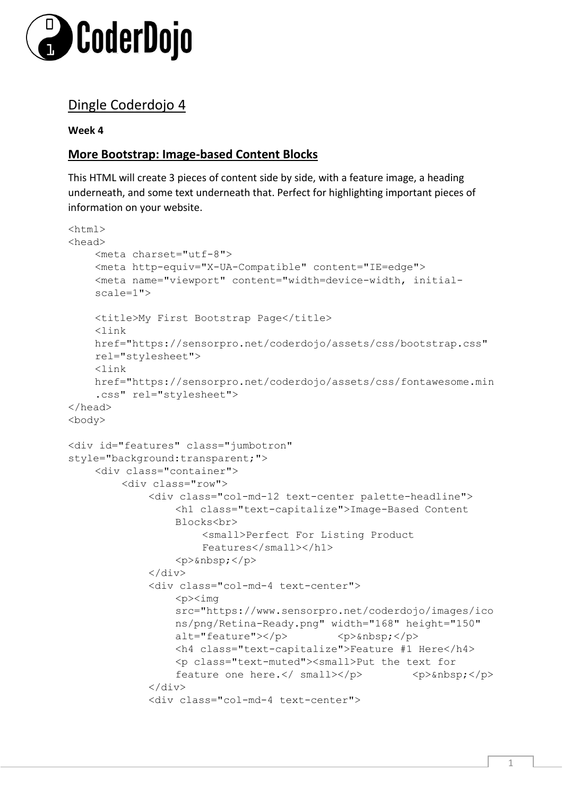

# Dingle Coderdojo 4

**Week 4**

## **More Bootstrap: Image-based Content Blocks**

This HTML will create 3 pieces of content side by side, with a feature image, a heading underneath, and some text underneath that. Perfect for highlighting important pieces of information on your website.

```
\hbox{\tt <html>>}<head> 
    <meta charset="utf-8"> 
    <meta http-equiv="X-UA-Compatible" content="IE=edge"> 
    <meta name="viewport" content="width=device-width, initial-
    scale=1"> 
    <title>My First Bootstrap Page</title>
    <link 
    href="https://sensorpro.net/coderdojo/assets/css/bootstrap.css" 
    rel="stylesheet"> 
    <link 
    href="https://sensorpro.net/coderdojo/assets/css/fontawesome.min
    .css" rel="stylesheet"> 
</head> 
<body> 
<div id="features" class="jumbotron" 
style="background:transparent;"> 
    <div class="container"> 
         <div class="row"> 
             <div class="col-md-12 text-center palette-headline"> 
                  <h1 class="text-capitalize">Image-Based Content 
                  Blocks<br> 
                       <small>Perfect For Listing Product
                       Features</small></h1> 
                  <p> </p>
             \langlediv><div class="col-md-4 text-center"> 
                  <p><img 
                  src="https://www.sensorpro.net/coderdojo/images/ico
                  ns/png/Retina-Ready.png" width="168" height="150" 
                  alt="feature"></p> \langle p\rangle <p>&nbsp;</p>
                  <h4 class="text-capitalize">Feature #1 Here</h4> 
                  <p class="text-muted"><small>Put the text for 
                  feature one here.</ \frac{\text{small}{<}}{\text{>}\langlediv\rangle<div class="col-md-4 text-center">
```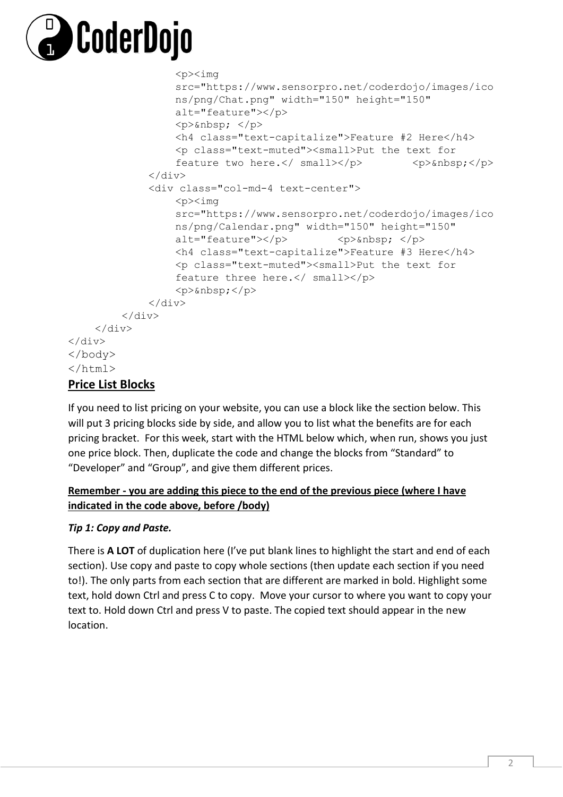

```
<p><img 
                    src="https://www.sensorpro.net/coderdojo/images/ico
                    ns/png/Chat.png" width="150" height="150" 
                    alt="feature"></p> 
                    \langle p\rangle  \langle p\rangle<h4 class="text-capitalize">Feature #2 Here</h4> 
                    <p class="text-muted"><small>Put the text for
                    feature two here.\langle/ small>\langle/p> \rangle <p>&nbsp;\langle/p>
               \langlediv\rangle<div class="col-md-4 text-center"> 
                    <p><img 
                    src="https://www.sensorpro.net/coderdojo/images/ico
                    ns/png/Calendar.png" width="150" height="150" 
                    alt="feature"></p> \langle p \rangle <p>*nbsp; </p>
                    <h4 class="text-capitalize">Feature #3 Here</h4> 
                    <p class="text-muted"><small>Put the text for 
                    feature three here.</ small></p> 
                    \langle p\rangle \langle p\rangle\langlediv\rangle\langle div>
     \langle/div>
</div> 
</body>
</html>
```
## **Price List Blocks**

If you need to list pricing on your website, you can use a block like the section below. This will put 3 pricing blocks side by side, and allow you to list what the benefits are for each pricing bracket. For this week, start with the HTML below which, when run, shows you just one price block. Then, duplicate the code and change the blocks from "Standard" to "Developer" and "Group", and give them different prices.

### **Remember - you are adding this piece to the end of the previous piece (where I have indicated in the code above, before /body)**

### *Tip 1: Copy and Paste.*

There is **A LOT** of duplication here (I've put blank lines to highlight the start and end of each section). Use copy and paste to copy whole sections (then update each section if you need to!). The only parts from each section that are different are marked in bold. Highlight some text, hold down Ctrl and press C to copy. Move your cursor to where you want to copy your text to. Hold down Ctrl and press V to paste. The copied text should appear in the new location.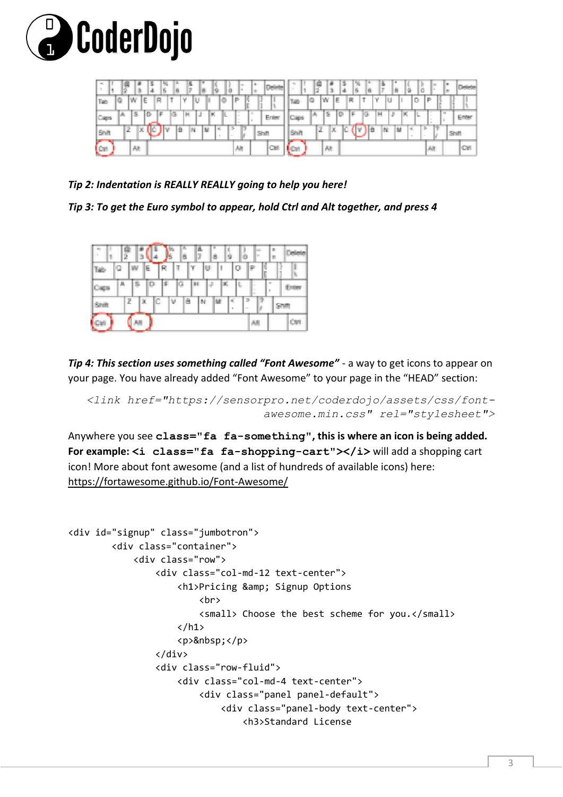



*Tip 2: Indentation is REALLY REALLY going to help you here!* 

*Tip 3: To get the Euro symbol to appear, hold Ctrl and Alt together, and press 4* 



*Tip 4: This section uses something called "Font Awesome"* - a way to get icons to appear on your page. You have already added "Font Awesome" to your page in the "HEAD" section:

```
<link href="https://sensorpro.net/coderdojo/assets/css/font-
                          awesome.min.css" rel="stylesheet">
```
Anywhere you see **class="fa fa-something", this is where an icon is being added.**  For example:  $\leq$ i class="fa fa-shopping-cart"> $\leq$ /i> will add a shopping cart icon! More about font awesome (and a list of hundreds of available icons) here: https://fortawesome.github.io/Font-Awesome/

```
<div id="signup" class="jumbotron">
         <div class="container">
             <div class="row">
                  <div class="col-md-12 text-center">
                     <h1>Pricing & amp: Signup Options
                         <br>
                         <small> Choose the best scheme for you.</small>
                     \langle/h1>
                     <p>&nbsp;</p>
                  </div>
                  <div class="row-fluid">
                      <div class="col-md-4 text-center">
                          <div class="panel panel-default">
                              <div class="panel-body text-center">
                                   <h3>Standard License
```